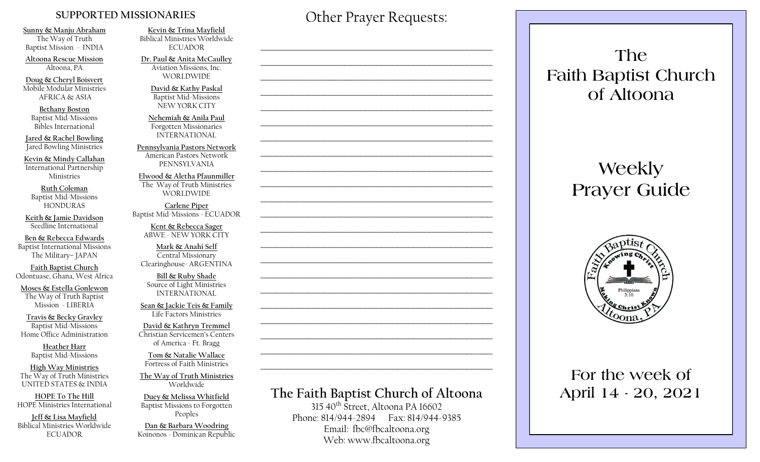#### **SUPPORTED MISSIONARIES**

**Sunny & Manju Abraham**  The Way of Truth Baptist Mission - INDIA

**Altoona Rescue Mission** Altoona, PA

**Doug & Cheryl Boisvert** Mobile Modular Ministries AFRICA & ASIA

**Bethany Boston** Baptist Mid-Missions Bibles International

**Jared & Rachel Bowling** Jared Bowling Ministries

**Kevin & Mindy Callahan** International Partnership Ministries

**Ruth Coleman** Baptist Mid-Missions HONDURAS

**Keith & Jamie Davidson** Seedline International

**Ben & Rebecca Edwards** Baptist International Missions The Military– JAPAN

**Faith Baptist Church** Odontuase, Ghana, West Africa

**Moses & Estella Gonlewon** The Way of Truth Baptist Mission - LIBERIA

**Travis & Becky Gravley**  Baptist Mid-Missions Home Office Administration

> **Heather Harr** Baptist Mid-Missions

**High Way Ministries** The Way of Truth Ministries UNITED STATES & INDIA

**HOPE To The Hill** HOPE Ministries International

**Jeff & Lisa Mayfield** Biblical Ministries Worldwide **ECUADOR** 

**Kevin & Trina Mayfield** Biblical Ministries Worldwide ECUADOR

**Dr. Paul & Anita McCaulley** Aviation Missions, Inc. WORLDWIDE

> **David & Kathy Paskal** Baptist Mid-Missions NEW YORK CITY

**Nehemiah & Anila Paul** Forgotten Missionaries INTERNATIONAL

**Pennsylvania Pastors Network** American Pastors Network PENNSYLVANIA

**Elwood & Aletha Pfaunmiller** The Way of Truth Ministries WORLDWIDE

**Carlene Piper** Baptist Mid-Missions - ECUADOR

> **Kent & Rebecca Sager** ABWE - NEW YORK CITY

**Mark & Anahi Self** Central Missionary Clearinghouse- ARGENTINA

**Bill & Ruby Shade** Source of Light Ministries INTERNATIONAL

**Sean & Jackie Teis & Family** Life Factors Ministries

**David & Kathryn Tremmel**  Christian Servicemen's Centers of America - Ft. Bragg

**Tom & Natalie Wallace** Fortress of Faith Ministries

**The Way of Truth Ministries**  Worldwide

**Duey & Melissa Whitfield** Baptist Missions to Forgotten Peoples

**Dan & Barbara Woodring**  Koinonos - Dominican Republic Other Prayer Requests:

 $\mathcal{L}_\text{max}$  and  $\mathcal{L}_\text{max}$  and  $\mathcal{L}_\text{max}$  and  $\mathcal{L}_\text{max}$  and  $\mathcal{L}_\text{max}$ 

 $\mathcal{L}_\text{max}$  , and the contract of the contract of the contract of the contract of the contract of the contract of the contract of the contract of the contract of the contract of the contract of the contract of the contr

 $\mathcal{L}_\text{max}$  and  $\mathcal{L}_\text{max}$  and  $\mathcal{L}_\text{max}$  and  $\mathcal{L}_\text{max}$  and  $\mathcal{L}_\text{max}$ 

 $\mathcal{L}_\text{max}$  and  $\mathcal{L}_\text{max}$  and  $\mathcal{L}_\text{max}$  and  $\mathcal{L}_\text{max}$  and  $\mathcal{L}_\text{max}$ 

## **The Faith Baptist Church of Altoona**   $315\,40$ <sup>th</sup> Street, Altoona PA 16602  $\mathcal{L}_\text{max}$  , and the contract of the contract of the contract of the contract of the contract of the contract of the contract of the contract of the contract of the contract of the contract of the contract of the contr  $\mathcal{L}_\text{max}$  , and the contract of the contract of the contract of the contract of the contract of the contract of the contract of the contract of the contract of the contract of the contract of the contract of the contr  $\mathcal{L}_\text{max}$  , and the contract of the contract of the contract of the contract of the contract of the contract of the contract of the contract of the contract of the contract of the contract of the contract of the contr  $\mathcal{L}_\text{max}$  and  $\mathcal{L}_\text{max}$  and  $\mathcal{L}_\text{max}$  and  $\mathcal{L}_\text{max}$  and  $\mathcal{L}_\text{max}$  $\mathcal{L}_\text{max}$  , and the contract of the contract of the contract of the contract of the contract of the contract of the contract of the contract of the contract of the contract of the contract of the contract of the contr  $\mathcal{L}_\text{max}$  , and the contract of the contract of the contract of the contract of the contract of the contract of the contract of the contract of the contract of the contract of the contract of the contract of the contr  $\mathcal{L}_\text{max}$  , and the contract of the contract of the contract of the contract of the contract of the contract of the contract of the contract of the contract of the contract of the contract of the contract of the contr  $\mathcal{L}_\text{max}$  , and the contract of the contract of the contract of the contract of the contract of the contract of the contract of the contract of the contract of the contract of the contract of the contract of the contr  $\mathcal{L}_\text{max}$  and  $\mathcal{L}_\text{max}$  and  $\mathcal{L}_\text{max}$  and  $\mathcal{L}_\text{max}$  and  $\mathcal{L}_\text{max}$  $\mathcal{L}_\text{max}$  , and the contract of the contract of the contract of the contract of the contract of the contract of the contract of the contract of the contract of the contract of the contract of the contract of the contr  $\mathcal{L}_\text{max}$  , and the contract of the contract of the contract of the contract of the contract of the contract of the contract of the contract of the contract of the contract of the contract of the contract of the contr

Phone: 814/944-2894 Fax: 814/944-9385 Email: fbc@fbcaltoona.org Web: www.fbcaltoona.org

**The Faith Baptist Church of Altoona** 

# **Weekly Prayer Guide**



## **For the week of April 14 - 20, 2021**